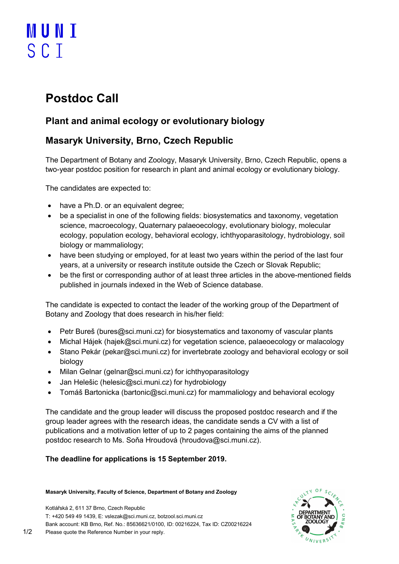# **MUNT** SCT

# Postdoc Call

## Plant and animal ecology or evolutionary biology

### Masaryk University, Brno, Czech Republic

The Department of Botany and Zoology, Masaryk University, Brno, Czech Republic, opens a two-year postdoc position for research in plant and animal ecology or evolutionary biology.

The candidates are expected to:

- have a Ph.D. or an equivalent degree;
- be a specialist in one of the following fields: biosystematics and taxonomy, vegetation science, macroecology, Quaternary palaeoecology, evolutionary biology, molecular ecology, population ecology, behavioral ecology, ichthyoparasitology, hydrobiology, soil biology or mammaliology;
- have been studying or employed, for at least two years within the period of the last four years, at a university or research institute outside the Czech or Slovak Republic;
- be the first or corresponding author of at least three articles in the above-mentioned fields published in journals indexed in the Web of Science database.

The candidate is expected to contact the leader of the working group of the Department of Botany and Zoology that does research in his/her field:

- Petr Bureš (bures@sci.muni.cz) for biosystematics and taxonomy of vascular plants
- Michal Hájek (hajek@sci.muni.cz) for vegetation science, palaeoecology or malacology
- Stano Pekár (pekar@sci.muni.cz) for invertebrate zoology and behavioral ecology or soil biology
- Milan Gelnar (gelnar@sci.muni.cz) for ichthyoparasitology
- Jan Helešic (helesic@sci.muni.cz) for hydrobiology
- Tomáš Bartonicka (bartonic@sci.muni.cz) for mammaliology and behavioral ecology

The candidate and the group leader will discuss the proposed postdoc research and if the group leader agrees with the research ideas, the candidate sends a CV with a list of publications and a motivation letter of up to 2 pages containing the aims of the planned postdoc research to Ms. Soňa Hroudová (hroudova@sci.muni.cz).

#### The deadline for applications is 15 September 2019.

#### Masaryk University, Faculty of Science, Department of Botany and Zoology